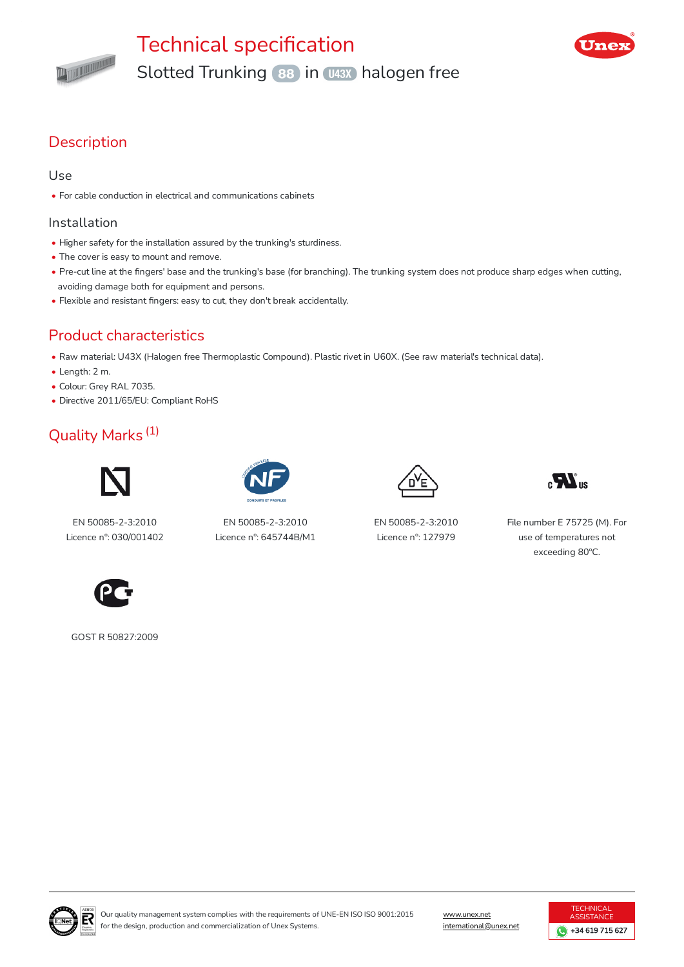

# Technical specification Slotted Trunking 88 in 1438 halogen free



## **Description**

#### Use

• For cable conduction in electrical and communications cabinets

#### Installation

- Higher safety for the installation assured by the trunking's sturdiness.
- The cover is easy to mount and remove.
- Pre-cut line at the fingers' base and the trunking's base (for branching). The trunking system does not produce sharp edges when cutting, avoiding damage both for equipment and persons.
- Flexible and resistant fingers: easy to cut, they don't break accidentally.

## Product characteristics

- Raw material: U43X (Halogen free Thermoplastic Compound). Plastic rivet in U60X. (See raw material's technical data).
- Length: 2 m.
- Colour: Grey RAL 7035.
- Directive 2011/65/EU: Compliant RoHS

## Quality Marks (1)



EN 50085-2-3:2010 Licence nº: 030/001402



EN 50085-2-3:2010 Licence nº: 645744B/M1



EN 50085-2-3:2010 Licence nº: 127979



File number E 75725 (M). For use of temperatures not exceeding 80ºC.



GOST R 50827:2009



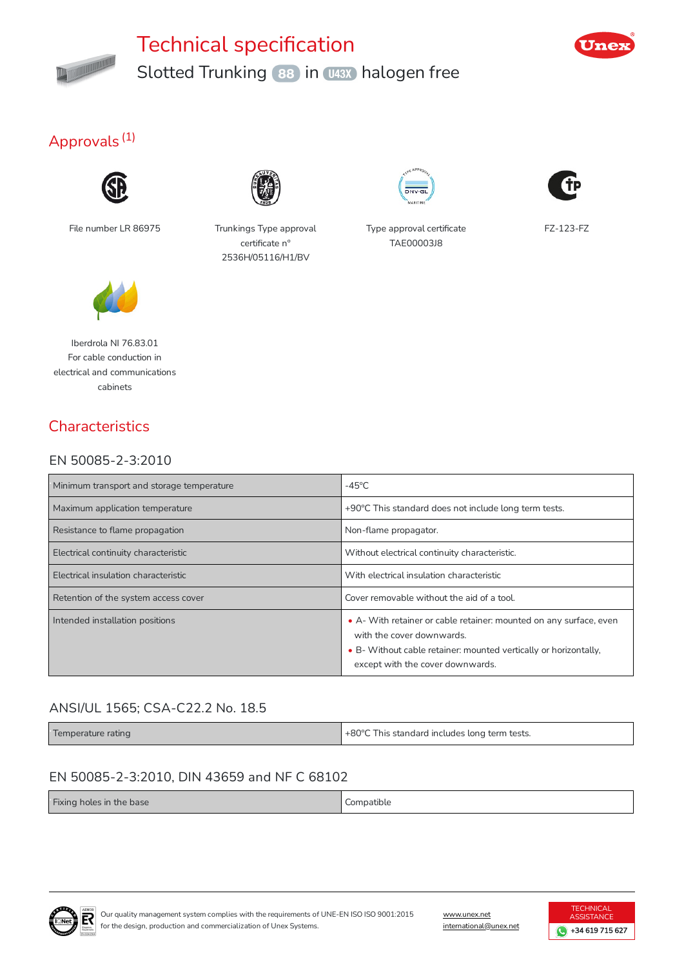

# Technical specification Slotted Trunking 88 in 1438 halogen free



## Approvals<sup>(1)</sup>







File number LR 86975 Trunkings Type approval certificate n° 2536H/05116/H1/BV



Type approval certificate TAE00003J8



FZ-123-FZ

Iberdrola NI 76.83.01 For cable conduction in electrical and communications cabinets

## **Characteristics**

### EN 50085-2-3:2010

| Minimum transport and storage temperature | $-45^{\circ}$ C                                                                                                                                                                                         |
|-------------------------------------------|---------------------------------------------------------------------------------------------------------------------------------------------------------------------------------------------------------|
| Maximum application temperature           | +90°C This standard does not include long term tests.                                                                                                                                                   |
| Resistance to flame propagation           | Non-flame propagator.                                                                                                                                                                                   |
| Electrical continuity characteristic      | Without electrical continuity characteristic.                                                                                                                                                           |
| Electrical insulation characteristic      | With electrical insulation characteristic                                                                                                                                                               |
| Retention of the system access cover      | Cover removable without the aid of a tool.                                                                                                                                                              |
| Intended installation positions           | • A- With retainer or cable retainer: mounted on any surface, even<br>with the cover downwards.<br>• B- Without cable retainer: mounted vertically or horizontally,<br>except with the cover downwards. |

### ANSI/UL 1565; CSA-C22.2 No. 18.5

Temperature rating **the standard includes long term tests.**  $+80^{\circ}$ C This standard includes long term tests.

### EN 50085-2-3:2010, DIN 43659 and NF C 68102

| Fixing holes in the base | Compatible<br>.<br>. |
|--------------------------|----------------------|
|--------------------------|----------------------|



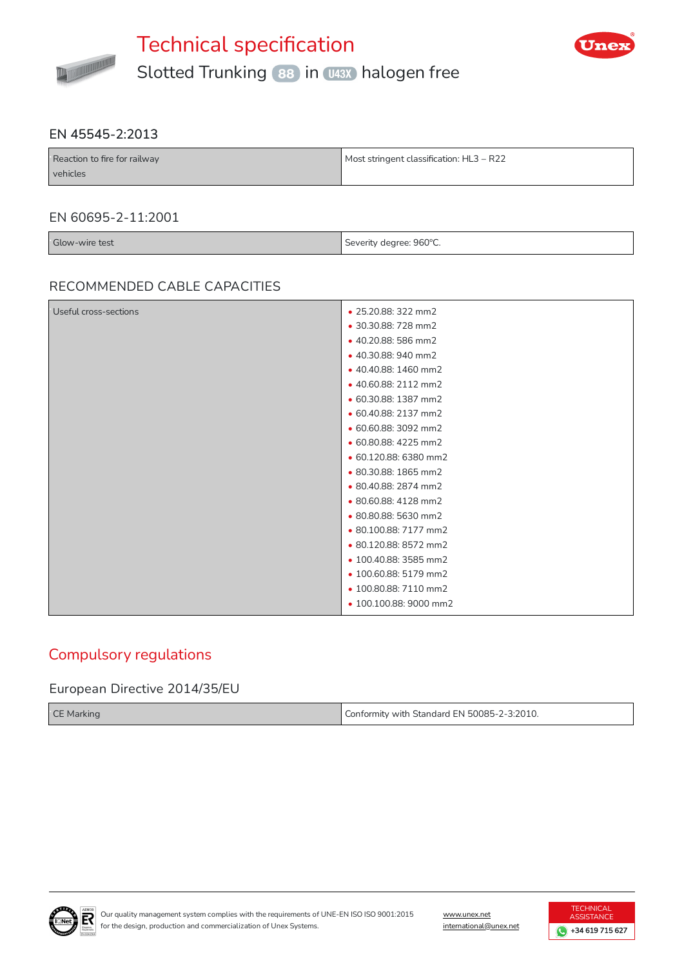



#### EN 45545-2:2013

| Reaction to fire for railway | Most stringent classification: HL3 - R22 |
|------------------------------|------------------------------------------|
| vehicles                     |                                          |

#### EN 60695-2-11:2001

| Glow-wire test | Severity degree: 960°C.<br>the control of the con- |
|----------------|----------------------------------------------------|

#### RECOMMENDED CABLE CAPACITIES

| Useful cross-sections | • 25.20.88: 322 mm2    |
|-----------------------|------------------------|
|                       | • 30.30.88: 728 mm2    |
|                       | • 40.20.88: 586 mm2    |
|                       | • 40.30.88: 940 mm2    |
|                       | • 40.40.88: 1460 mm2   |
|                       | • 40.60.88: 2112 mm2   |
|                       | • 60.30.88: 1387 mm2   |
|                       | • 60.40.88: 2137 mm2   |
|                       | • 60.60.88: 3092 mm2   |
|                       | • 60.80.88: 4225 mm2   |
|                       | • 60.120.88: 6380 mm2  |
|                       | • 80.30.88: 1865 mm2   |
|                       | • 80.40.88: 2874 mm2   |
|                       | · 80.60.88: 4128 mm2   |
|                       | · 80.80.88: 5630 mm2   |
|                       | • 80.100.88: 7177 mm2  |
|                       | · 80.120.88: 8572 mm2  |
|                       | • 100.40.88: 3585 mm2  |
|                       | • 100.60.88: 5179 mm2  |
|                       | • 100.80.88: 7110 mm2  |
|                       | • 100.100.88: 9000 mm2 |
|                       |                        |

### Compulsory regulations

#### European Directive 2014/35/EU

| <b>CE Marking</b> | Conformity with Standard EN 50085-2-3:2010. |
|-------------------|---------------------------------------------|
|-------------------|---------------------------------------------|



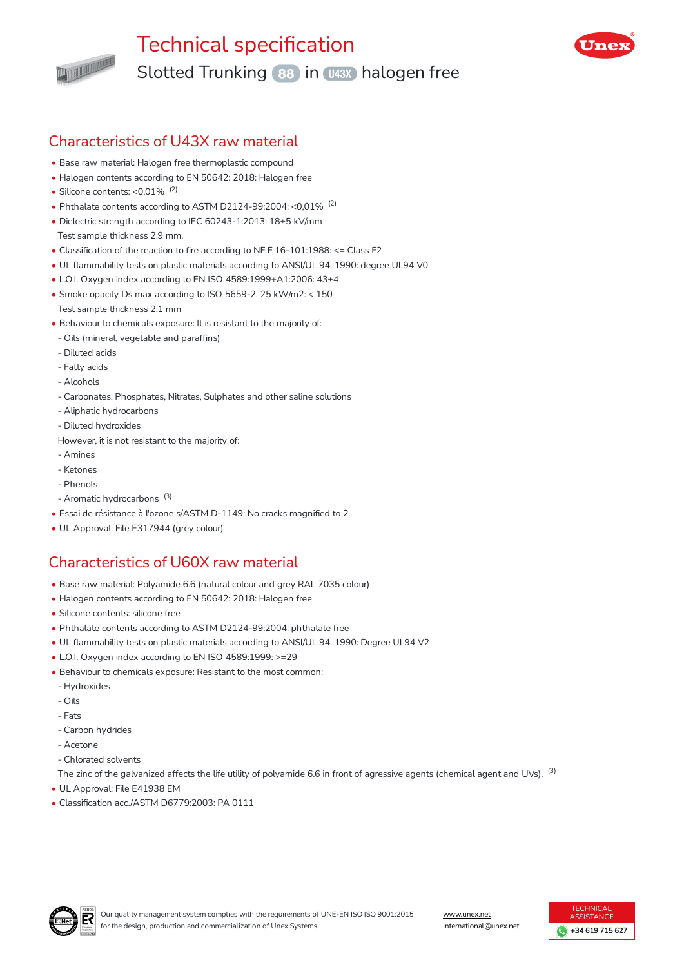

# Technical specification Slotted Trunking (88) in U43X) halogen free



## Characteristics of U43X raw material

- Base raw material: Halogen free thermoplastic compound
- Halogen contents according to EN 50642: 2018: Halogen free
- Silicone contents:  $< 0.01\%$ <sup>(2)</sup>
- Phthalate contents according to ASTM D2124-99:2004: <0,01%  $(2)$
- Dielectric strength according to IEC 60243-1:2013: 18±5 kV/mm Test sample thickness 2,9 mm.
- Classification of the reaction to fire according to NF F  $16-101:1988:$  <= Class F2
- UL flammability tests on plastic materials according to ANSI/UL 94: 1990: degree UL94 V0
- L.O.I. Oxygen index according to EN ISO 4589:1999+A1:2006: 43±4
- Smoke opacity Ds max according to ISO 5659-2, 25 kW/m2: < 150 Test sample thickness 2,1 mm
- Behaviour to chemicals exposure: It is resistant to the majority of:
- Oils (mineral, vegetable and paraffins)
- Diluted acids
- Fatty acids
- Alcohols
- Carbonates, Phosphates, Nitrates, Sulphates and other saline solutions
- Aliphatic hydrocarbons
- Diluted hydroxides
- However, it is not resistant to the majority of:
- Amines
- Ketones
- Phenols
- Aromatic hydrocarbons<sup>(3)</sup>
- Essai de résistance à l'ozone s/ASTM D-1149: No cracks magnied to 2.
- UL Approval: File E317944 (grey colour)

## Characteristics of U60X raw material

- Base raw material: Polyamide 6.6 (natural colour and grey RAL 7035 colour)
- Halogen contents according to EN 50642: 2018: Halogen free
- Silicone contents: silicone free
- Phthalate contents according to ASTM D2124-99:2004: phthalate free
- UL flammability tests on plastic materials according to ANSI/UL 94: 1990: Degree UL94 V2
- L.O.I. Oxygen index according to EN ISO 4589:1999: >=29
- Behaviour to chemicals exposure: Resistant to the most common:
- Hydroxides
- Oils
- Fats
- Carbon hydrides
- Acetone
- Chlorated solvents

The zinc of the galvanized affects the life utility of polyamide 6.6 in front of agressive agents (chemical agent and UVs).  $^{\rm (3)}$ 

- UL Approval: File E41938 EM
- Classification acc./ASTM D6779:2003: PA 0111